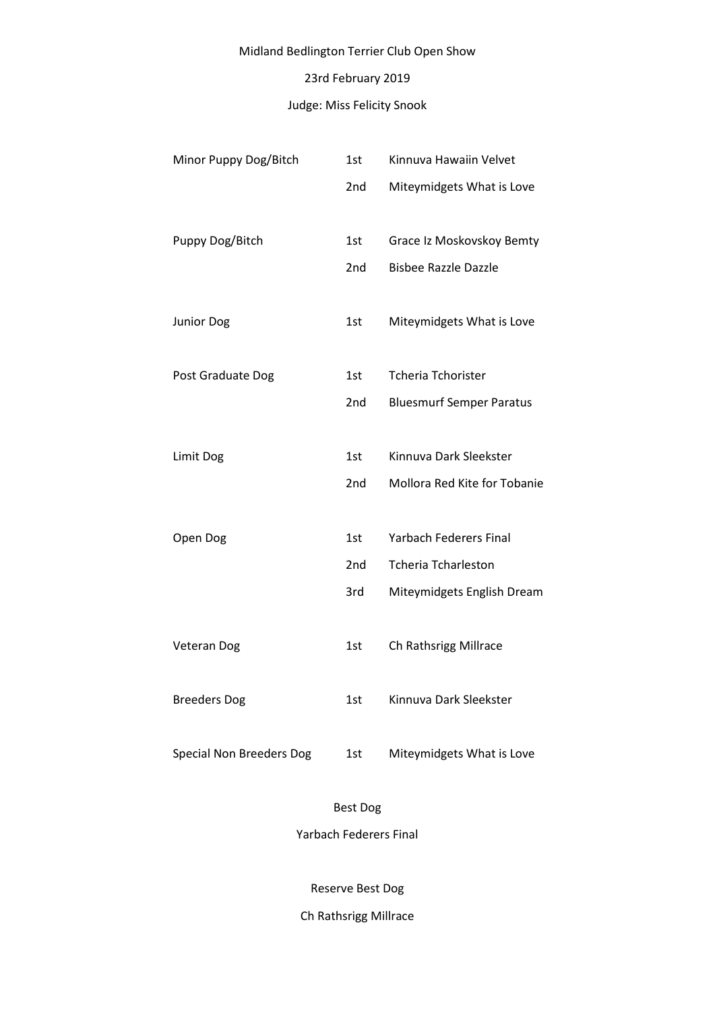# Midland Bedlington Terrier Club Open Show

# 23rd February 2019

# Judge: Miss Felicity Snook

| Minor Puppy Dog/Bitch           | 1st             | Kinnuva Hawaiin Velvet          |
|---------------------------------|-----------------|---------------------------------|
|                                 | 2 <sub>nd</sub> | Miteymidgets What is Love       |
|                                 |                 |                                 |
| Puppy Dog/Bitch                 | 1st             | Grace Iz Moskovskoy Bemty       |
|                                 | 2 <sub>nd</sub> | <b>Bisbee Razzle Dazzle</b>     |
|                                 |                 |                                 |
| Junior Dog                      | 1st             | Miteymidgets What is Love       |
|                                 |                 |                                 |
| Post Graduate Dog               | 1st             | <b>Tcheria Tchorister</b>       |
|                                 | 2nd             | <b>Bluesmurf Semper Paratus</b> |
|                                 |                 |                                 |
| Limit Dog                       | 1st             | Kinnuva Dark Sleekster          |
|                                 | 2nd             | Mollora Red Kite for Tobanie    |
|                                 |                 |                                 |
| Open Dog                        | 1st             | <b>Yarbach Federers Final</b>   |
|                                 | 2nd             | <b>Tcheria Tcharleston</b>      |
|                                 | 3rd             | Miteymidgets English Dream      |
|                                 |                 |                                 |
| <b>Veteran Dog</b>              | 1st             | Ch Rathsrigg Millrace           |
|                                 |                 |                                 |
| <b>Breeders Dog</b>             | 1st             | Kinnuva Dark Sleekster          |
|                                 |                 |                                 |
| <b>Special Non Breeders Dog</b> | 1st             | Miteymidgets What is Love       |
|                                 |                 |                                 |

## Best Dog

Yarbach Federers Final

Reserve Best Dog

Ch Rathsrigg Millrace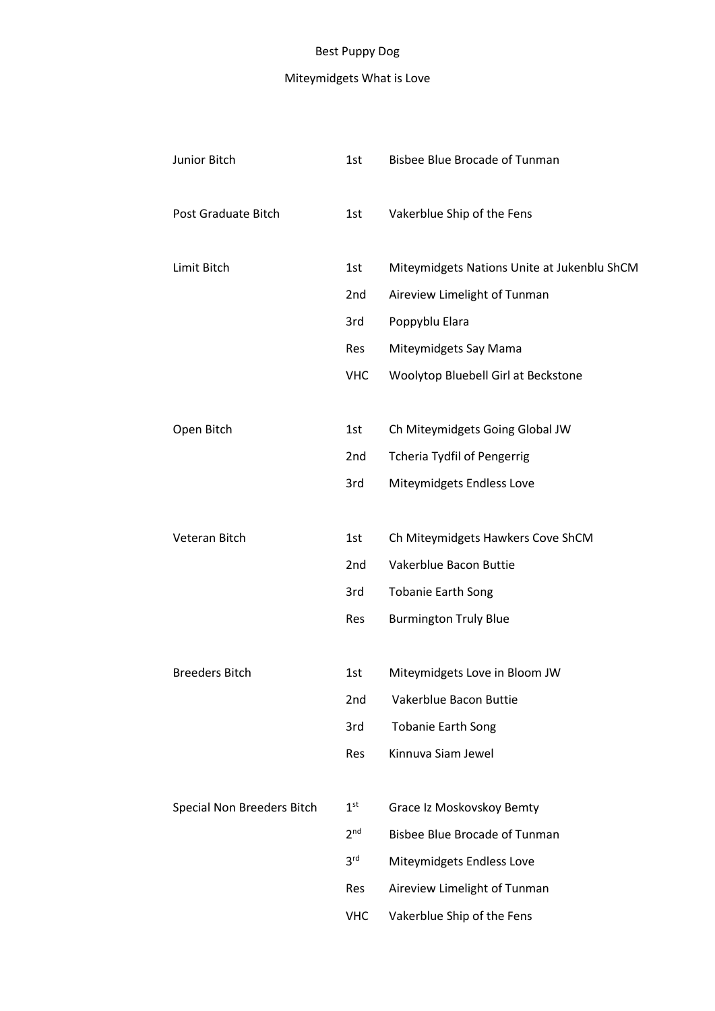# Best Puppy Dog

# Miteymidgets What is Love

| Junior Bitch               | 1st             | <b>Bisbee Blue Brocade of Tunman</b>        |
|----------------------------|-----------------|---------------------------------------------|
| Post Graduate Bitch        | 1st             | Vakerblue Ship of the Fens                  |
| Limit Bitch                | 1st             | Miteymidgets Nations Unite at Jukenblu ShCM |
|                            | 2nd             | Aireview Limelight of Tunman                |
|                            | 3rd             | Poppyblu Elara                              |
|                            | Res             | Miteymidgets Say Mama                       |
|                            | <b>VHC</b>      | Woolytop Bluebell Girl at Beckstone         |
| Open Bitch                 | 1st             | Ch Miteymidgets Going Global JW             |
|                            | 2nd             | <b>Tcheria Tydfil of Pengerrig</b>          |
|                            | 3rd             | Miteymidgets Endless Love                   |
|                            |                 |                                             |
| Veteran Bitch              | 1st             | Ch Miteymidgets Hawkers Cove ShCM           |
|                            | 2nd             | Vakerblue Bacon Buttie                      |
|                            | 3rd             | <b>Tobanie Earth Song</b>                   |
|                            | Res             | <b>Burmington Truly Blue</b>                |
| <b>Breeders Bitch</b>      | 1st             | Miteymidgets Love in Bloom JW               |
|                            | 2nd             | Vakerblue Bacon Buttie                      |
|                            | 3rd             | <b>Tobanie Earth Song</b>                   |
|                            | Res             | Kinnuva Siam Jewel                          |
| Special Non Breeders Bitch | 1 <sup>st</sup> | Grace Iz Moskovskoy Bemty                   |
|                            | 2 <sup>nd</sup> | <b>Bisbee Blue Brocade of Tunman</b>        |
|                            | 3 <sup>rd</sup> | Miteymidgets Endless Love                   |
|                            | Res             | Aireview Limelight of Tunman                |
|                            | <b>VHC</b>      | Vakerblue Ship of the Fens                  |
|                            |                 |                                             |